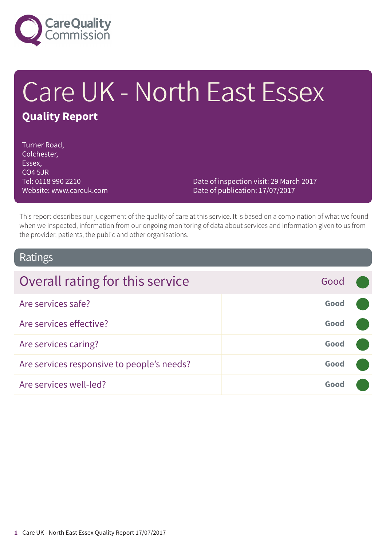

# Care UK - North East Essex **Quality Report**

Turner Road, Colchester, Essex, CO4 5JR Tel: 0118 990 2210 Website: www.careuk.com

Date of inspection visit: 29 March 2017 Date of publication: 17/07/2017

This report describes our judgement of the quality of care at this service. It is based on a combination of what we found when we inspected, information from our ongoing monitoring of data about services and information given to us from the provider, patients, the public and other organisations.

### Ratings

| Overall rating for this service            | Good |  |
|--------------------------------------------|------|--|
| Are services safe?                         | Good |  |
| Are services effective?                    | Good |  |
| Are services caring?                       | Good |  |
| Are services responsive to people's needs? | Good |  |
| Are services well-led?                     | Good |  |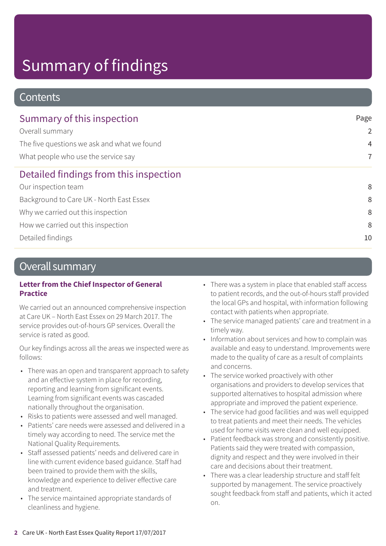### **Contents**

| Summary of this inspection                  | Page           |  |
|---------------------------------------------|----------------|--|
| Overall summary                             | $\overline{2}$ |  |
| The five questions we ask and what we found | $\overline{4}$ |  |
| What people who use the service say         | $\overline{7}$ |  |
| Detailed findings from this inspection      |                |  |
| Our inspection team                         | 8              |  |
| Background to Care UK - North East Essex    | 8              |  |
| Why we carried out this inspection          | 8              |  |
| How we carried out this inspection          | 8              |  |
| Detailed findings                           | 10             |  |

### Overall summary

#### **Letter from the Chief Inspector of General Practice**

We carried out an announced comprehensive inspection at Care UK – North East Essex on 29 March 2017. The service provides out-of-hours GP services. Overall the service is rated as good.

Our key findings across all the areas we inspected were as follows:

- There was an open and transparent approach to safety and an effective system in place for recording, reporting and learning from significant events. Learning from significant events was cascaded nationally throughout the organisation.
- Risks to patients were assessed and well managed.
- Patients' care needs were assessed and delivered in a timely way according to need. The service met the National Quality Requirements.
- Staff assessed patients' needs and delivered care in line with current evidence based guidance. Staff had been trained to provide them with the skills, knowledge and experience to deliver effective care and treatment.
- The service maintained appropriate standards of cleanliness and hygiene.
- There was a system in place that enabled staff access to patient records, and the out-of-hours staff provided the local GPs and hospital, with information following contact with patients when appropriate.
- The service managed patients' care and treatment in a timely way.
- Information about services and how to complain was available and easy to understand. Improvements were made to the quality of care as a result of complaints and concerns.
- The service worked proactively with other organisations and providers to develop services that supported alternatives to hospital admission where appropriate and improved the patient experience.
- The service had good facilities and was well equipped to treat patients and meet their needs. The vehicles used for home visits were clean and well equipped.
- Patient feedback was strong and consistently positive. Patients said they were treated with compassion, dignity and respect and they were involved in their care and decisions about their treatment.
- There was a clear leadership structure and staff felt supported by management. The service proactively sought feedback from staff and patients, which it acted on.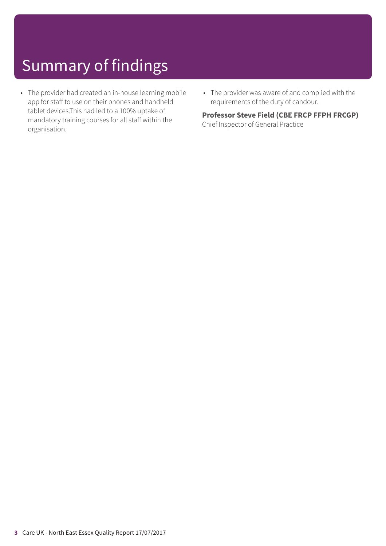- The provider had created an in-house learning mobile app for staff to use on their phones and handheld tablet devices.This had led to a 100% uptake of mandatory training courses for all staff within the organisation.
- The provider was aware of and complied with the requirements of the duty of candour.

#### **Professor Steve Field (CBE FRCP FFPH FRCGP)**

Chief Inspector of General Practice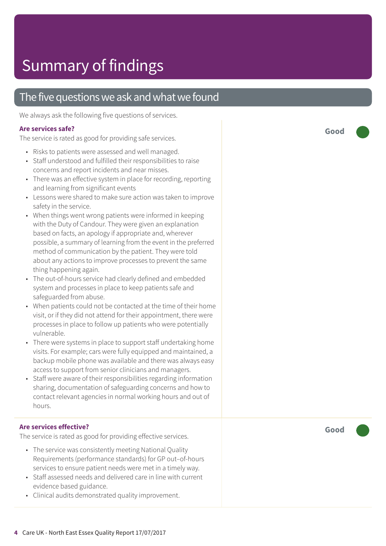### The five questions we ask and what we found

We always ask the following five questions of services.

#### **Ar e services safe ?**

The servic e is rated as good for providing saf e services.

- Risks t o patients wer e assessed and well managed.
- Staff understood and fulfilled their responsibilities to raise concerns and report incidents and near misses.
- There was an effective system in place for recording, reporting and learning from significant events
- Lessons were shared to make sure action was taken to improve saf ety in the service.
- When things went wrong patients were informed in keeping with the Duty of Candour. The y wer e given an explanation based on facts, an apology if appropriat e and, wher ever possible, a summar y of learning from the event in the preferred method of communication by the patient. The y wer e told about any actions to improve processes to prevent the same thing happening again.
- The out-of-hour s servic e had clearly defined and embedded system and processes in plac e t o keep patients saf e and saf eguarded from abuse.
- When patients could not be contacted at the time of their home visit, or if they did not attend for their appointment, there were processes in place to follow up patients who were potentially vulnerable.
- There were systems in place to support staff undertaking home visits. For example; car s wer e fully equipped and maintained, a backup mobile phone was available and ther e was always easy ac cess t o support from senior clinicians and managers.
- Staff were aware of their responsibilities regarding information sharing, documentation of saf eguarding concerns and how t o contact rele vant agencies in normal working hour s and out of hours.

#### **Ar e services effective ?**

The service is rated as good for providing effective services.

- The servic e was consistently meeting National Quality Requirements (performanc e standards) for GP out–of-hour s services t o ensur e patient needs wer e me t in a timely way.
- Staff assessed needs and delivered care in line with current evidence based guidance.
- Clinical audits demonstrated quality improvement.

**Good –––**

**Good –––**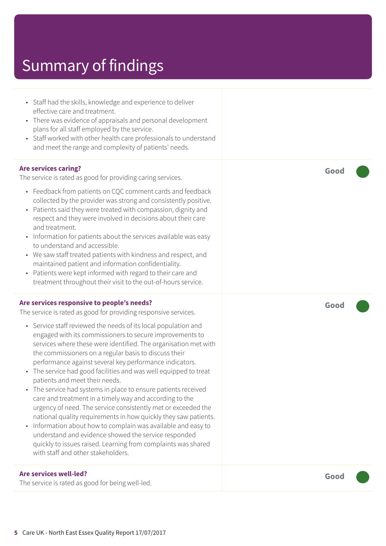• Staff had the skills, knowledge and experience to deliver effective care and treatment. • There was evidence of appraisals and personal development plans for all staff employed by the service. • Staff worked with other health care professionals to understand and meet the range and complexity of patients' needs. **Are services caring?** The service is rated as good for providing caring services. • Feedback from patients on CQC comment cards and feedback collected by the provider was strong and consistently positive. • Patients said they were treated with compassion, dignity and respect and they were involved in decisions about their care and treatment. • Information for patients about the services available was easy to understand and accessible. • We saw staff treated patients with kindness and respect, and maintained patient and information confidentiality. • Patients were kept informed with regard to their care and treatment throughout their visit to the out-of-hours service. **Good ––– Are services responsive to people's needs?** The service is rated as good for providing responsive services. • Service staff reviewed the needs of its local population and engaged with its commissioners to secure improvements to services where these were identified. The organisation met with the commissioners on a regular basis to discuss their performance against several key performance indicators. • The service had good facilities and was well equipped to treat patients and meet their needs. • The service had systems in place to ensure patients received care and treatment in a timely way and according to the urgency of need. The service consistently met or exceeded the national quality requirements in how quickly they saw patients. • Information about how to complain was available and easy to understand and evidence showed the service responded quickly to issues raised. Learning from complaints was shared with staff and other stakeholders. **Good ––– Are services well-led?** The service is rated as good for being well-led. **Good –––**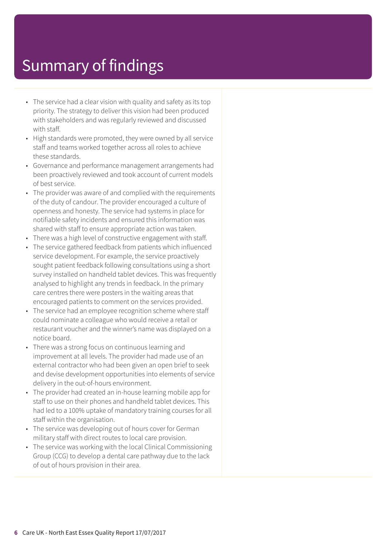- The service had a clear vision with quality and safety as its top priority. The strategy to deliver this vision had been produced with stakeholders and was regularly reviewed and discussed with staff.
- High standards were promoted, they were owned by all service staff and teams worked together across all roles to achieve these standards.
- Governance and performance management arrangements had been proactively reviewed and took account of current models of best service.
- The provider was aware of and complied with the requirements of the duty of candour. The provider encouraged a culture of openness and honesty. The service had systems in place for notifiable safety incidents and ensured this information was shared with staff to ensure appropriate action was taken.
- There was a high level of constructive engagement with staff.
- The service gathered feedback from patients which influenced service development. For example, the service proactively sought patient feedback following consultations using a short survey installed on handheld tablet devices. This was frequently analysed to highlight any trends in feedback. In the primary care centres there were posters in the waiting areas that encouraged patients to comment on the services provided.
- The service had an employee recognition scheme where staff could nominate a colleague who would receive a retail or restaurant voucher and the winner's name was displayed on a notice board.
- There was a strong focus on continuous learning and improvement at all levels. The provider had made use of an external contractor who had been given an open brief to seek and devise development opportunities into elements of service delivery in the out-of-hours environment.
- The provider had created an in-house learning mobile app for staff to use on their phones and handheld tablet devices. This had led to a 100% uptake of mandatory training courses for all staff within the organisation.
- The service was developing out of hours cover for German military staff with direct routes to local care provision.
- The service was working with the local Clinical Commissioning Group (CCG) to develop a dental care pathway due to the lack of out of hours provision in their area.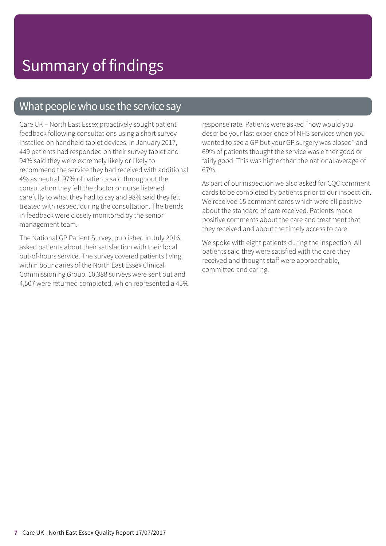### What people who use the service say

Care UK – North East Essex proactively sought patient feedback following consultations using a short survey installed on handheld tablet devices. In January 2017, 449 patients had responded on their survey tablet and 94% said they were extremely likely or likely to recommend the service they had received with additional 4% as neutral. 97% of patients said throughout the consultation they felt the doctor or nurse listened carefully to what they had to say and 98% said they felt treated with respect during the consultation. The trends in feedback were closely monitored by the senior management team.

The National GP Patient Survey, published in July 2016, asked patients about their satisfaction with their local out-of-hours service. The survey covered patients living within boundaries of the North East Essex Clinical Commissioning Group. 10,388 surveys were sent out and 4,507 were returned completed, which represented a 45% response rate. Patients were asked "how would you describe your last experience of NHS services when you wanted to see a GP but your GP surgery was closed" and 69% of patients thought the service was either good or fairly good. This was higher than the national average of 67%.

As part of our inspection we also asked for CQC comment cards to be completed by patients prior to our inspection. We received 15 comment cards which were all positive about the standard of care received. Patients made positive comments about the care and treatment that they received and about the timely access to care.

We spoke with eight patients during the inspection. All patients said they were satisfied with the care they received and thought staff were approachable, committed and caring.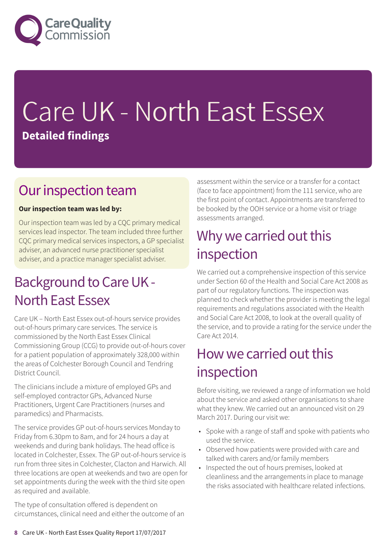

# Care UK - North East Essex **Detailed findings**

### Our inspection team

#### **Our inspection team was led by:**

Our inspection team was led by a CQC primary medical services lead inspector. The team included three further CQC primary medical services inspectors, a GP specialist adviser, an advanced nurse practitioner specialist adviser, and a practice manager specialist adviser.

### Background to Care UK -North East Essex

Care UK – North East Essex out-of-hours service provides out-of-hours primary care services. The service is commissioned by the North East Essex Clinical Commissioning Group (CCG) to provide out-of-hours cover for a patient population of approximately 328,000 within the areas of Colchester Borough Council and Tendring District Council.

The clinicians include a mixture of employed GPs and self-employed contractor GPs, Advanced Nurse Practitioners, Urgent Care Practitioners (nurses and paramedics) and Pharmacists.

The service provides GP out-of-hours services Monday to Friday from 6.30pm to 8am, and for 24 hours a day at weekends and during bank holidays. The head office is located in Colchester, Essex. The GP out-of-hours service is run from three sites in Colchester, Clacton and Harwich. All three locations are open at weekends and two are open for set appointments during the week with the third site open as required and available.

The type of consultation offered is dependent on circumstances, clinical need and either the outcome of an assessment within the service or a transfer for a contact (face to face appointment) from the 111 service, who are the first point of contact. Appointments are transferred to be booked by the OOH service or a home visit or triage assessments arranged.

### Why we carried out this inspection

We carried out a comprehensive inspection of this service under Section 60 of the Health and Social Care Act 2008 as part of our regulatory functions. The inspection was planned to check whether the provider is meeting the legal requirements and regulations associated with the Health and Social Care Act 2008, to look at the overall quality of the service, and to provide a rating for the service under the Care Act 2014.

### How we carried out this inspection

Before visiting, we reviewed a range of information we hold about the service and asked other organisations to share what they knew. We carried out an announced visit on 29 March 2017. During our visit we:

- Spoke with a range of staff and spoke with patients who used the service.
- Observed how patients were provided with care and talked with carers and/or family members
- Inspected the out of hours premises, looked at cleanliness and the arrangements in place to manage the risks associated with healthcare related infections.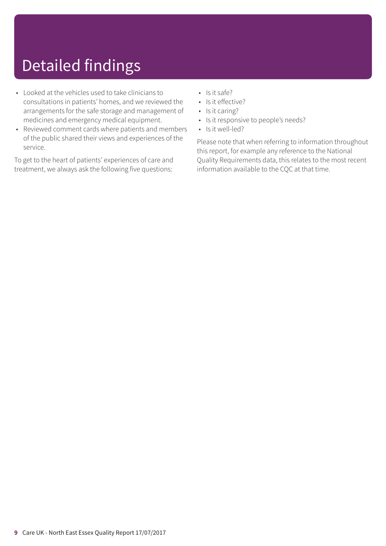### Detailed findings

- Looked at the vehicles used to take clinicians to consultations in patients' homes, and we reviewed the arrangements for the safe storage and management of medicines and emergency medical equipment.
- Reviewed comment cards where patients and members of the public shared their views and experiences of the service.

To get to the heart of patients' experiences of care and treatment, we always ask the following five questions:

- Is it safe?
- Is it effective?
- Is it caring?
- Is it responsive to people's needs?
- Is it well-led?

Please note that when referring to information throughout this report, for example any reference to the National Quality Requirements data, this relates to the most recent information available to the CQC at that time.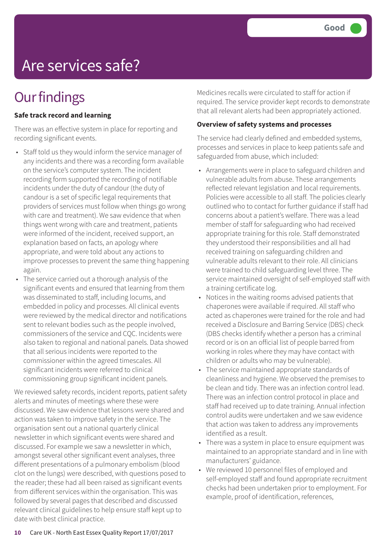### Are services safe?

### **Our findings**

#### **Safe track record and learning**

There was an effective system in place for reporting and recording significant events.

- Staff told us they would inform the service manager of any incidents and there was a recording form available on the service's computer system. The incident recording form supported the recording of notifiable incidents under the duty of candour (the duty of candour is a set of specific legal requirements that providers of services must follow when things go wrong with care and treatment). We saw evidence that when things went wrong with care and treatment, patients were informed of the incident, received support, an explanation based on facts, an apology where appropriate, and were told about any actions to improve processes to prevent the same thing happening again.
- The service carried out a thorough analysis of the significant events and ensured that learning from them was disseminated to staff, including locums, and embedded in policy and processes. All clinical events were reviewed by the medical director and notifications sent to relevant bodies such as the people involved, commissioners of the service and CQC. Incidents were also taken to regional and national panels. Data showed that all serious incidents were reported to the commissioner within the agreed timescales. All significant incidents were referred to clinical commissioning group significant incident panels.

We reviewed safety records, incident reports, patient safety alerts and minutes of meetings where these were discussed. We saw evidence that lessons were shared and action was taken to improve safety in the service. The organisation sent out a national quarterly clinical newsletter in which significant events were shared and discussed. For example we saw a newsletter in which, amongst several other significant event analyses, three different presentations of a pulmonary embolism (blood clot on the lungs) were described, with questions posed to the reader; these had all been raised as significant events from different services within the organisation. This was followed by several pages that described and discussed relevant clinical guidelines to help ensure staff kept up to date with best clinical practice.

Medicines recalls were circulated to staff for action if required. The service provider kept records to demonstrate that all relevant alerts had been appropriately actioned.

#### **Overview of safety systems and processes**

The service had clearly defined and embedded systems, processes and services in place to keep patients safe and safeguarded from abuse, which included:

- Arrangements were in place to safeguard children and vulnerable adults from abuse. These arrangements reflected relevant legislation and local requirements. Policies were accessible to all staff. The policies clearly outlined who to contact for further guidance if staff had concerns about a patient's welfare. There was a lead member of staff for safeguarding who had received appropriate training for this role. Staff demonstrated they understood their responsibilities and all had received training on safeguarding children and vulnerable adults relevant to their role. All clinicians were trained to child safeguarding level three. The service maintained oversight of self-employed staff with a training certificate log.
- Notices in the waiting rooms advised patients that chaperones were available if required. All staff who acted as chaperones were trained for the role and had received a Disclosure and Barring Service (DBS) check (DBS checks identify whether a person has a criminal record or is on an official list of people barred from working in roles where they may have contact with children or adults who may be vulnerable).
- The service maintained appropriate standards of cleanliness and hygiene. We observed the premises to be clean and tidy. There was an infection control lead. There was an infection control protocol in place and staff had received up to date training. Annual infection control audits were undertaken and we saw evidence that action was taken to address any improvements identified as a result.
- There was a system in place to ensure equipment was maintained to an appropriate standard and in line with manufacturers' guidance.
- We reviewed 10 personnel files of employed and self-employed staff and found appropriate recruitment checks had been undertaken prior to employment. For example, proof of identification, references,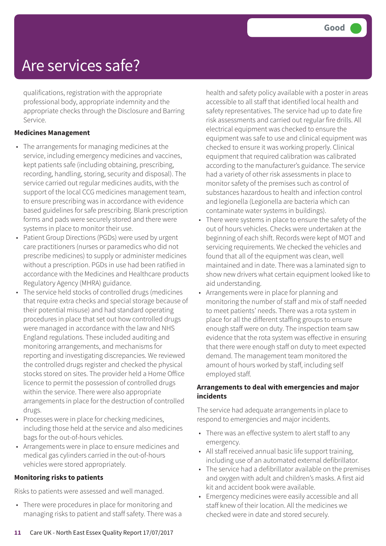### Are services safe?

qualifications, registration with the appropriate professional body, appropriate indemnity and the appropriate checks through the Disclosure and Barring Service.

#### **Medicines Management**

- The arrangements for managing medicines at the service, including emergency medicines and vaccines, kept patients safe (including obtaining, prescribing, recording, handling, storing, security and disposal). The service carried out regular medicines audits, with the support of the local CCG medicines management team, to ensure prescribing was in accordance with evidence based guidelines for safe prescribing. Blank prescription forms and pads were securely stored and there were systems in place to monitor their use.
- Patient Group Directions (PGDs) were used by urgent care practitioners (nurses or paramedics who did not prescribe medicines) to supply or administer medicines without a prescription. PGDs in use had been ratified in accordance with the Medicines and Healthcare products Regulatory Agency (MHRA) guidance.
- The service held stocks of controlled drugs (medicines that require extra checks and special storage because of their potential misuse) and had standard operating procedures in place that set out how controlled drugs were managed in accordance with the law and NHS England regulations. These included auditing and monitoring arrangements, and mechanisms for reporting and investigating discrepancies. We reviewed the controlled drugs register and checked the physical stocks stored on sites. The provider held a Home Office licence to permit the possession of controlled drugs within the service. There were also appropriate arrangements in place for the destruction of controlled drugs.
- Processes were in place for checking medicines, including those held at the service and also medicines bags for the out-of-hours vehicles.
- Arrangements were in place to ensure medicines and medical gas cylinders carried in the out-of-hours vehicles were stored appropriately.

#### **Monitoring risks to patients**

Risks to patients were assessed and well managed.

• There were procedures in place for monitoring and managing risks to patient and staff safety. There was a health and safety policy available with a poster in areas accessible to all staff that identified local health and safety representatives. The service had up to date fire risk assessments and carried out regular fire drills. All electrical equipment was checked to ensure the equipment was safe to use and clinical equipment was checked to ensure it was working properly. Clinical equipment that required calibration was calibrated according to the manufacturer's guidance. The service had a variety of other risk assessments in place to monitor safety of the premises such as control of substances hazardous to health and infection control and legionella (Legionella are bacteria which can contaminate water systems in buildings).

- There were systems in place to ensure the safety of the out of hours vehicles. Checks were undertaken at the beginning of each shift. Records were kept of MOT and servicing requirements. We checked the vehicles and found that all of the equipment was clean, well maintained and in date. There was a laminated sign to show new drivers what certain equipment looked like to aid understanding.
- Arrangements were in place for planning and monitoring the number of staff and mix of staff needed to meet patients' needs. There was a rota system in place for all the different staffing groups to ensure enough staff were on duty. The inspection team saw evidence that the rota system was effective in ensuring that there were enough staff on duty to meet expected demand. The management team monitored the amount of hours worked by staff, including self employed staff.

#### **Arrangements to deal with emergencies and major incidents**

The service had adequate arrangements in place to respond to emergencies and major incidents.

- There was an effective system to alert staff to any emergency.
- All staff received annual basic life support training, including use of an automated external defibrillator.
- The service had a defibrillator available on the premises and oxygen with adult and children's masks. A first aid kit and accident book were available.
- Emergency medicines were easily accessible and all staff knew of their location. All the medicines we checked were in date and stored securely.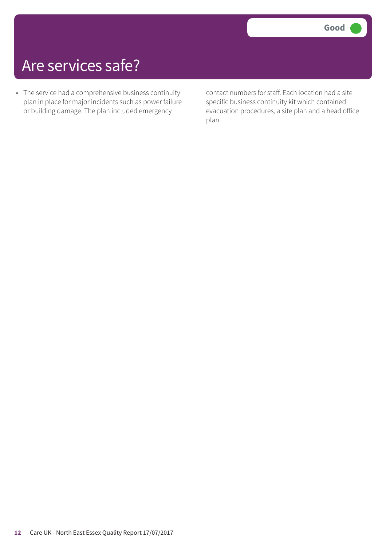### Are services safe?

• The service had a comprehensive business continuity plan in place for major incidents such as power failure or building damage. The plan included emergency

contact numbers for staff. Each location had a site specific business continuity kit which contained evacuation procedures, a site plan and a head office plan.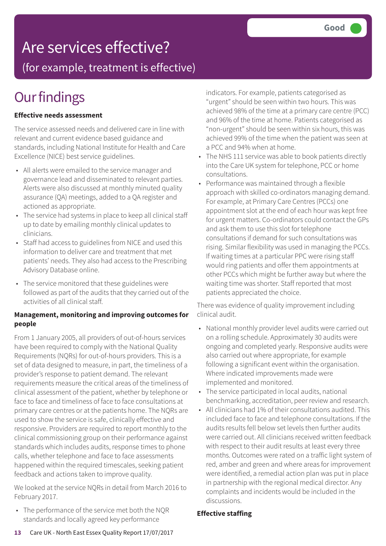### Are services effective?

(for example, treatment is effective)

### **Our findings**

#### **Effective needs assessment**

The service assessed needs and delivered care in line with relevant and current evidence based guidance and standards, including National Institute for Health and Care Excellence (NICE) best service guidelines.

- All alerts were emailed to the service manager and governance lead and disseminated to relevant parties. Alerts were also discussed at monthly minuted quality assurance (QA) meetings, added to a QA register and actioned as appropriate.
- The service had systems in place to keep all clinical staff up to date by emailing monthly clinical updates to clinicians.
- Staff had access to guidelines from NICE and used this information to deliver care and treatment that met patients' needs. They also had access to the Prescribing Advisory Database online.
- The service monitored that these guidelines were followed as part of the audits that they carried out of the activities of all clinical staff.

#### **Management, monitoring and improving outcomes for people**

From 1 January 2005, all providers of out-of-hours services have been required to comply with the National Quality Requirements (NQRs) for out-of-hours providers. This is a set of data designed to measure, in part, the timeliness of a provider's response to patient demand. The relevant requirements measure the critical areas of the timeliness of clinical assessment of the patient, whether by telephone or face to face and timeliness of face to face consultations at primary care centres or at the patients home. The NQRs are used to show the service is safe, clinically effective and responsive. Providers are required to report monthly to the clinical commissioning group on their performance against standards which includes audits, response times to phone calls, whether telephone and face to face assessments happened within the required timescales, seeking patient feedback and actions taken to improve quality.

We looked at the service NQRs in detail from March 2016 to February 2017.

• The performance of the service met both the NQR standards and locally agreed key performance

indicators. For example, patients categorised as "urgent" should be seen within two hours. This was achieved 98% of the time at a primary care centre (PCC) and 96% of the time at home. Patients categorised as "non-urgent" should be seen within six hours, this was achieved 99% of the time when the patient was seen at a PCC and 94% when at home.

- The NHS 111 service was able to book patients directly into the Care UK system for telephone, PCC or home consultations.
- Performance was maintained through a flexible approach with skilled co-ordinators managing demand. For example, at Primary Care Centres (PCCs) one appointment slot at the end of each hour was kept free for urgent matters. Co-ordinators could contact the GPs and ask them to use this slot for telephone consultations if demand for such consultations was rising. Similar flexibility was used in managing the PCCs. If waiting times at a particular PPC were rising staff would ring patients and offer them appointments at other PCCs which might be further away but where the waiting time was shorter. Staff reported that most patients appreciated the choice.

There was evidence of quality improvement including clinical audit.

- National monthly provider level audits were carried out on a rolling schedule. Approximately 30 audits were ongoing and completed yearly. Responsive audits were also carried out where appropriate, for example following a significant event within the organisation. Where indicated improvements made were implemented and monitored.
- The service participated in local audits, national benchmarking, accreditation, peer review and research.
- All clinicians had 1% of their consultations audited. This included face to face and telephone consultations. If the audits results fell below set levels then further audits were carried out. All clinicians received written feedback with respect to their audit results at least every three months. Outcomes were rated on a traffic light system of red, amber and green and where areas for improvement were identified, a remedial action plan was put in place in partnership with the regional medical director. Any complaints and incidents would be included in the discussions.

#### **Effective staffing**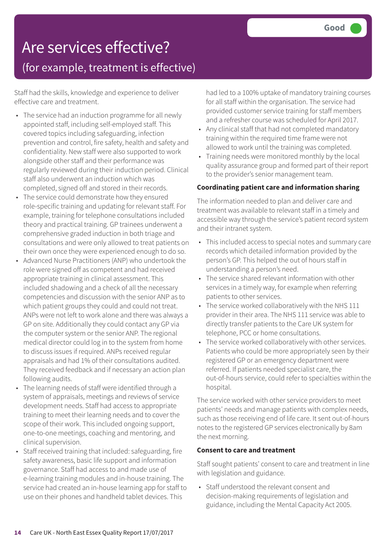# Are services effective?

(for example, treatment is effective)

Staff had the skills, knowledge and experience to deliver effective care and treatment.

- The service had an induction programme for all newly appointed staff, including self-employed staff. This covered topics including safeguarding, infection prevention and control, fire safety, health and safety and confidentiality. New staff were also supported to work alongside other staff and their performance was regularly reviewed during their induction period. Clinical staff also underwent an induction which was completed, signed off and stored in their records.
- The service could demonstrate how they ensured role-specific training and updating for relevant staff. For example, training for telephone consultations included theory and practical training. GP trainees underwent a comprehensive graded induction in both triage and consultations and were only allowed to treat patients on their own once they were experienced enough to do so.
- Advanced Nurse Practitioners (ANP) who undertook the role were signed off as competent and had received appropriate training in clinical assessment. This included shadowing and a check of all the necessary competencies and discussion with the senior ANP as to which patient groups they could and could not treat. ANPs were not left to work alone and there was always a GP on site. Additionally they could contact any GP via the computer system or the senior ANP. The regional medical director could log in to the system from home to discuss issues if required. ANPs received regular appraisals and had 1% of their consultations audited. They received feedback and if necessary an action plan following audits.
- The learning needs of staff were identified through a system of appraisals, meetings and reviews of service development needs. Staff had access to appropriate training to meet their learning needs and to cover the scope of their work. This included ongoing support, one-to-one meetings, coaching and mentoring, and clinical supervision.
- Staff received training that included: safeguarding, fire safety awareness, basic life support and information governance. Staff had access to and made use of e-learning training modules and in-house training. The service had created an in-house learning app for staff to use on their phones and handheld tablet devices. This

had led to a 100% uptake of mandatory training courses for all staff within the organisation. The service had provided customer service training for staff members and a refresher course was scheduled for April 2017.

- Any clinical staff that had not completed mandatory training within the required time frame were not allowed to work until the training was completed.
- Training needs were monitored monthly by the local quality assurance group and formed part of their report to the provider's senior management team.

#### **Coordinating patient care and information sharing**

The information needed to plan and deliver care and treatment was available to relevant staff in a timely and accessible way through the service's patient record system and their intranet system.

- This included access to special notes and summary care records which detailed information provided by the person's GP. This helped the out of hours staff in understanding a person's need.
- The service shared relevant information with other services in a timely way, for example when referring patients to other services.
- The service worked collaboratively with the NHS 111 provider in their area. The NHS 111 service was able to directly transfer patients to the Care UK system for telephone, PCC or home consultations.
- The service worked collaboratively with other services. Patients who could be more appropriately seen by their registered GP or an emergency department were referred. If patients needed specialist care, the out-of-hours service, could refer to specialties within the hospital.

The service worked with other service providers to meet patients' needs and manage patients with complex needs, such as those receiving end of life care. It sent out-of-hours notes to the registered GP services electronically by 8am the next morning.

#### **Consent to care and treatment**

Staff sought patients' consent to care and treatment in line with legislation and guidance.

• Staff understood the relevant consent and decision-making requirements of legislation and guidance, including the Mental Capacity Act 2005.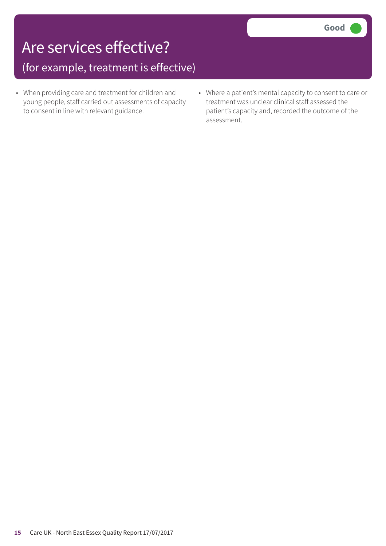### Are services effective?

(for example, treatment is effective)

- When providing care and treatment for children and young people, staff carried out assessments of capacity to consent in line with relevant guidance.
- Where a patient's mental capacity to consent to care or treatment was unclear clinical staff assessed the patient's capacity and, recorded the outcome of the assessment.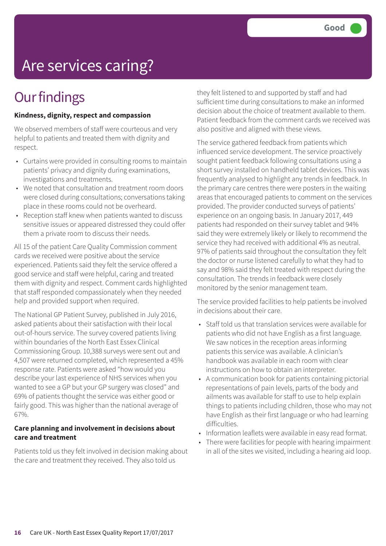# Are services caring?

### **Our findings**

#### **Kindness, dignity, respect and compassion**

We observed members of staff were courteous and very helpful to patients and treated them with dignity and respect.

- Curtains were provided in consulting rooms to maintain patients' privacy and dignity during examinations, investigations and treatments.
- We noted that consultation and treatment room doors were closed during consultations; conversations taking place in these rooms could not be overheard.
- Reception staff knew when patients wanted to discuss sensitive issues or appeared distressed they could offer them a private room to discuss their needs.

All 15 of the patient Care Quality Commission comment cards we received were positive about the service experienced. Patients said they felt the service offered a good service and staff were helpful, caring and treated them with dignity and respect. Comment cards highlighted that staff responded compassionately when they needed help and provided support when required.

The National GP Patient Survey, published in July 2016, asked patients about their satisfaction with their local out-of-hours service. The survey covered patients living within boundaries of the North East Essex Clinical Commissioning Group. 10,388 surveys were sent out and 4,507 were returned completed, which represented a 45% response rate. Patients were asked "how would you describe your last experience of NHS services when you wanted to see a GP but your GP surgery was closed" and 69% of patients thought the service was either good or fairly good. This was higher than the national average of 67%.

#### **Care planning and involvement in decisions about care and treatment**

Patients told us they felt involved in decision making about the care and treatment they received. They also told us

they felt listened to and supported by staff and had sufficient time during consultations to make an informed decision about the choice of treatment available to them. Patient feedback from the comment cards we received was also positive and aligned with these views.

The service gathered feedback from patients which influenced service development. The service proactively sought patient feedback following consultations using a short survey installed on handheld tablet devices. This was frequently analysed to highlight any trends in feedback. In the primary care centres there were posters in the waiting areas that encouraged patients to comment on the services provided. The provider conducted surveys of patients' experience on an ongoing basis. In January 2017, 449 patients had responded on their survey tablet and 94% said they were extremely likely or likely to recommend the service they had received with additional 4% as neutral. 97% of patients said throughout the consultation they felt the doctor or nurse listened carefully to what they had to say and 98% said they felt treated with respect during the consultation. The trends in feedback were closely monitored by the senior management team.

The service provided facilities to help patients be involved in decisions about their care.

- Staff told us that translation services were available for patients who did not have English as a first language. We saw notices in the reception areas informing patients this service was available. A clinician's handbook was available in each room with clear instructions on how to obtain an interpreter.
- A communication book for patients containing pictorial representations of pain levels, parts of the body and ailments was available for staff to use to help explain things to patients including children, those who may not have English as their first language or who had learning difficulties.
- Information leaflets were available in easy read format.
- There were facilities for people with hearing impairment in all of the sites we visited, including a hearing aid loop.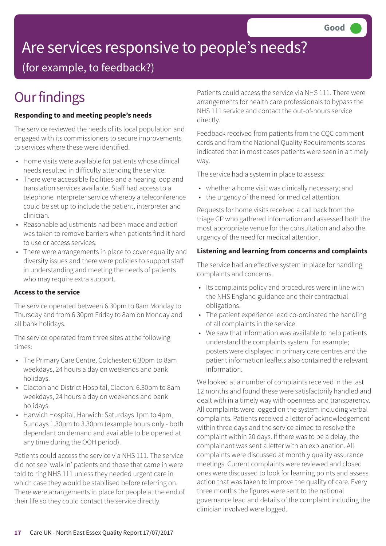# Are services responsive to people's needs?

(for example, to feedback?)

### **Our findings**

#### **Responding to and meeting people's needs**

The service reviewed the needs of its local population and engaged with its commissioners to secure improvements to services where these were identified.

- Home visits were available for patients whose clinical needs resulted in difficulty attending the service.
- There were accessible facilities and a hearing loop and translation services available. Staff had access to a telephone interpreter service whereby a teleconference could be set up to include the patient, interpreter and clinician.
- Reasonable adjustments had been made and action was taken to remove barriers when patients find it hard to use or access services.
- There were arrangements in place to cover equality and diversity issues and there were policies to support staff in understanding and meeting the needs of patients who may require extra support.

#### **Access to the service**

The service operated between 6.30pm to 8am Monday to Thursday and from 6.30pm Friday to 8am on Monday and all bank holidays.

The service operated from three sites at the following times:

- The Primary Care Centre, Colchester: 6.30pm to 8am weekdays, 24 hours a day on weekends and bank holidays.
- Clacton and District Hospital, Clacton: 6.30pm to 8am weekdays, 24 hours a day on weekends and bank holidays.
- Harwich Hospital, Harwich: Saturdays 1pm to 4pm, Sundays 1.30pm to 3.30pm (example hours only - both dependant on demand and available to be opened at any time during the OOH period).

Patients could access the service via NHS 111. The service did not see 'walk in' patients and those that came in were told to ring NHS 111 unless they needed urgent care in which case they would be stabilised before referring on. There were arrangements in place for people at the end of their life so they could contact the service directly.

Patients could access the service via NHS 111. There were arrangements for health care professionals to bypass the NHS 111 service and contact the out-of-hours service directly.

Feedback received from patients from the CQC comment cards and from the National Quality Requirements scores indicated that in most cases patients were seen in a timely way.

The service had a system in place to assess:

- whether a home visit was clinically necessary; and
- the urgency of the need for medical attention.

Requests for home visits received a call back from the triage GP who gathered information and assessed both the most appropriate venue for the consultation and also the urgency of the need for medical attention.

#### **Listening and learning from concerns and complaints**

The service had an effective system in place for handling complaints and concerns.

- Its complaints policy and procedures were in line with the NHS England guidance and their contractual obligations.
- The patient experience lead co-ordinated the handling of all complaints in the service.
- We saw that information was available to help patients understand the complaints system. For example; posters were displayed in primary care centres and the patient information leaflets also contained the relevant information.

We looked at a number of complaints received in the last 12 months and found these were satisfactorily handled and dealt with in a timely way with openness and transparency. All complaints were logged on the system including verbal complaints. Patients received a letter of acknowledgement within three days and the service aimed to resolve the complaint within 20 days. If there was to be a delay, the complainant was sent a letter with an explanation. All complaints were discussed at monthly quality assurance meetings. Current complaints were reviewed and closed ones were discussed to look for learning points and assess action that was taken to improve the quality of care. Every three months the figures were sent to the national governance lead and details of the complaint including the clinician involved were logged.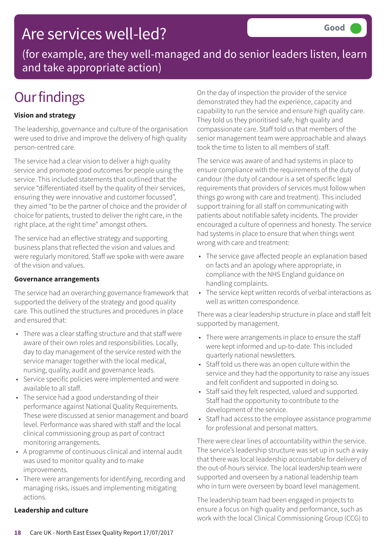### Are services well-led?

(for example, are they well-managed and do senior leaders listen, learn and take appropriate action)

### **Our findings**

#### **Vision and strategy**

The leadership, governance and culture of the organisation were used to drive and improve the delivery of high quality person-centred care.

The service had a clear vision to deliver a high quality service and promote good outcomes for people using the service. This included statements that outlined that the service "differentiated itself by the quality of their services, ensuring they were innovative and customer focussed", they aimed "to be the partner of choice and the provider of choice for patients, trusted to deliver the right care, in the right place, at the right time" amongst others.

The service had an effective strategy and supporting business plans that reflected the vision and values and were regularly monitored. Staff we spoke with were aware of the vision and values.

#### **Governance arrangements**

The service had an overarching governance framework that supported the delivery of the strategy and good quality care. This outlined the structures and procedures in place and ensured that:

- There was a clear staffing structure and that staff were aware of their own roles and responsibilities. Locally, day to day management of the service rested with the service manager together with the local medical, nursing, quality, audit and governance leads.
- Service specific policies were implemented and were available to all staff.
- The service had a good understanding of their performance against National Quality Requirements. These were discussed at senior management and board level. Performance was shared with staff and the local clinical commissioning group as part of contract monitoring arrangements.
- A programme of continuous clinical and internal audit was used to monitor quality and to make improvements.
- There were arrangements for identifying, recording and managing risks, issues and implementing mitigating actions.

#### **Leadership and culture**

On the day of inspection the provider of the service demonstrated they had the experience, capacity and capability to run the service and ensure high quality care. They told us they prioritised safe, high quality and compassionate care. Staff told us that members of the senior management team were approachable and always took the time to listen to all members of staff.

The service was aware of and had systems in place to ensure compliance with the requirements of the duty of candour (the duty of candour is a set of specific legal requirements that providers of services must follow when things go wrong with care and treatment). This included support training for all staff on communicating with patients about notifiable safety incidents. The provider encouraged a culture of openness and honesty. The service had systems in place to ensure that when things went wrong with care and treatment:

- The service gave affected people an explanation based on facts and an apology where appropriate, in compliance with the NHS England guidance on handling complaints.
- The service kept written records of verbal interactions as well as written correspondence.

There was a clear leadership structure in place and staff felt supported by management.

- There were arrangements in place to ensure the staff were kept informed and up-to-date. This included quarterly national newsletters.
- Staff told us there was an open culture within the service and they had the opportunity to raise any issues and felt confident and supported in doing so.
- Staff said they felt respected, valued and supported. Staff had the opportunity to contribute to the development of the service.
- Staff had access to the employee assistance programme for professional and personal matters.

There were clear lines of accountability within the service. The service's leadership structure was set up in such a way that there was local leadership accountable for delivery of the out-of-hours service. The local leadership team were supported and overseen by a national leadership team who in turn were overseen by board level management.

The leadership team had been engaged in projects to ensure a focus on high quality and performance, such as work with the local Clinical Commissioning Group (CCG) to